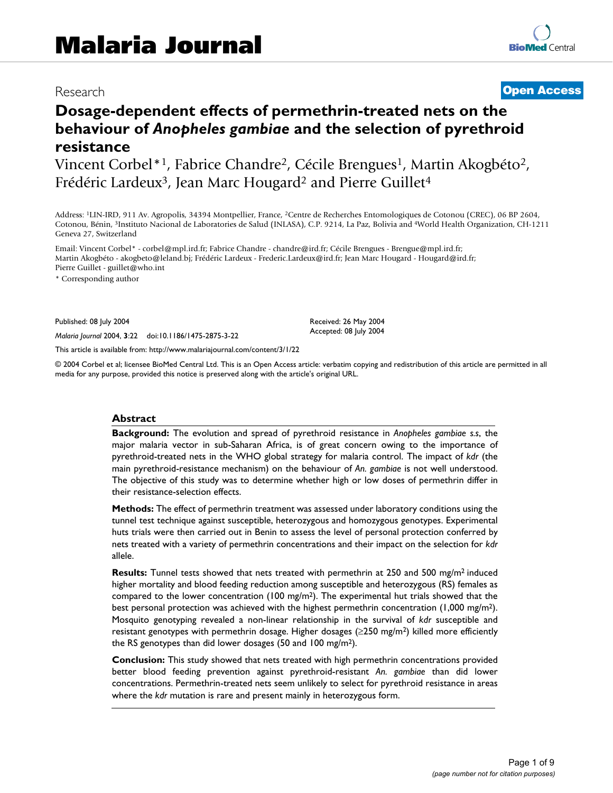# Research **[Open Access](http://www.biomedcentral.com/info/about/charter/)**

# **Dosage-dependent effects of permethrin-treated nets on the behaviour of** *Anopheles gambiae* **and the selection of pyrethroid resistance**

Vincent Corbel\*<sup>1</sup>, Fabrice Chandre<sup>2</sup>, Cécile Brengues<sup>1</sup>, Martin Akogbéto<sup>2</sup>, Frédéric Lardeux<sup>3</sup>, Jean Marc Hougard<sup>2</sup> and Pierre Guillet<sup>4</sup>

Address: 1LIN-IRD, 911 Av. Agropolis, 34394 Montpellier, France, 2Centre de Recherches Entomologiques de Cotonou (CREC), 06 BP 2604, Cotonou, Bénin, 3Instituto Nacional de Laboratories de Salud (INLASA), C.P. 9214, La Paz, Bolivia and 4World Health Organization, CH-1211 Geneva 27, Switzerland

Email: Vincent Corbel\* - corbel@mpl.ird.fr; Fabrice Chandre - chandre@ird.fr; Cécile Brengues - Brengue@mpl.ird.fr; Martin Akogbéto - akogbeto@leland.bj; Frédéric Lardeux - Frederic.Lardeux@ird.fr; Jean Marc Hougard - Hougard@ird.fr; Pierre Guillet - guillet@who.int

\* Corresponding author

Published: 08 July 2004

*Malaria Journal* 2004, **3**:22 doi:10.1186/1475-2875-3-22

[This article is available from: http://www.malariajournal.com/content/3/1/22](http://www.malariajournal.com/content/3/1/22)

© 2004 Corbel et al; licensee BioMed Central Ltd. This is an Open Access article: verbatim copying and redistribution of this article are permitted in all media for any purpose, provided this notice is preserved along with the article's original URL.

Received: 26 May 2004 Accepted: 08 July 2004

#### **Abstract**

**Background:** The evolution and spread of pyrethroid resistance in *Anopheles gambiae s.s*, the major malaria vector in sub-Saharan Africa, is of great concern owing to the importance of pyrethroid-treated nets in the WHO global strategy for malaria control. The impact of *kdr* (the main pyrethroid-resistance mechanism) on the behaviour of *An. gambiae* is not well understood. The objective of this study was to determine whether high or low doses of permethrin differ in their resistance-selection effects.

**Methods:** The effect of permethrin treatment was assessed under laboratory conditions using the tunnel test technique against susceptible, heterozygous and homozygous genotypes. Experimental huts trials were then carried out in Benin to assess the level of personal protection conferred by nets treated with a variety of permethrin concentrations and their impact on the selection for *kdr* allele.

**Results:** Tunnel tests showed that nets treated with permethrin at 250 and 500 mg/m<sup>2</sup> induced higher mortality and blood feeding reduction among susceptible and heterozygous (RS) females as compared to the lower concentration (100 mg/m<sup>2</sup>). The experimental hut trials showed that the best personal protection was achieved with the highest permethrin concentration (1,000 mg/m<sup>2</sup>). Mosquito genotyping revealed a non-linear relationship in the survival of *kdr* susceptible and resistant genotypes with permethrin dosage. Higher dosages ( $\geq$ 250 mg/m<sup>2</sup>) killed more efficiently the RS genotypes than did lower dosages (50 and 100 mg/m2).

**Conclusion:** This study showed that nets treated with high permethrin concentrations provided better blood feeding prevention against pyrethroid-resistant *An. gambiae* than did lower concentrations. Permethrin-treated nets seem unlikely to select for pyrethroid resistance in areas where the *kdr* mutation is rare and present mainly in heterozygous form.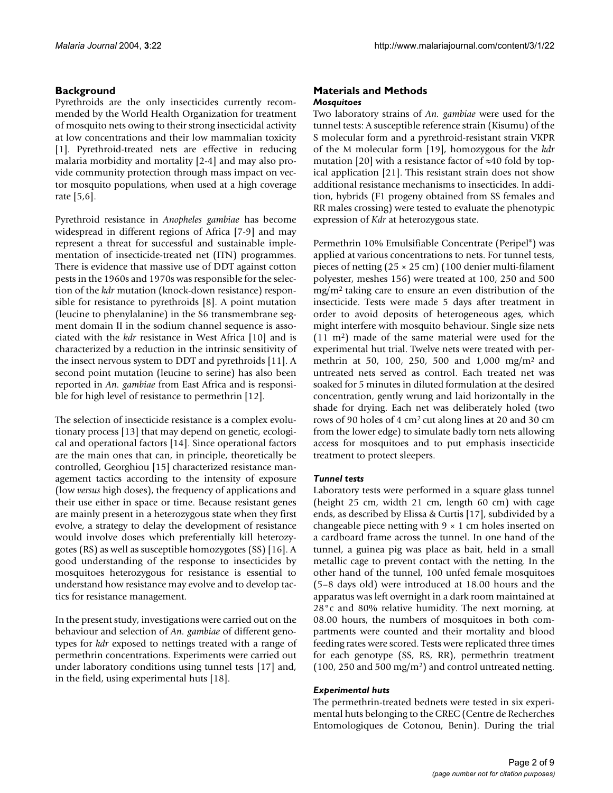# **Background**

Pyrethroids are the only insecticides currently recommended by the World Health Organization for treatment of mosquito nets owing to their strong insecticidal activity at low concentrations and their low mammalian toxicity [1]. Pyrethroid-treated nets are effective in reducing malaria morbidity and mortality [2-4] and may also provide community protection through mass impact on vector mosquito populations, when used at a high coverage rate [5,6].

Pyrethroid resistance in *Anopheles gambiae* has become widespread in different regions of Africa [\[7-](#page-7-0)[9](#page-7-1)] and may represent a threat for successful and sustainable implementation of insecticide-treated net (ITN) programmes. There is evidence that massive use of DDT against cotton pests in the 1960s and 1970s was responsible for the selection of the *kdr* mutation (knock-down resistance) responsible for resistance to pyrethroids [8]. A point mutation (leucine to phenylalanine) in the S6 transmembrane segment domain II in the sodium channel sequence is associated with the *kdr* resistance in West Africa [[10\]](#page-7-2) and is characterized by a reduction in the intrinsic sensitivity of the insect nervous system to DDT and pyrethroids [11]. A second point mutation (leucine to serine) has also been reported in *An. gambiae* from East Africa and is responsible for high level of resistance to permethrin [[12\]](#page-7-3).

The selection of insecticide resistance is a complex evolutionary process [13] that may depend on genetic, ecological and operational factors [14]. Since operational factors are the main ones that can, in principle, theoretically be controlled, Georghiou [15] characterized resistance management tactics according to the intensity of exposure (low *versus* high doses), the frequency of applications and their use either in space or time. Because resistant genes are mainly present in a heterozygous state when they first evolve, a strategy to delay the development of resistance would involve doses which preferentially kill heterozygotes (RS) as well as susceptible homozygotes (SS) [16]. A good understanding of the response to insecticides by mosquitoes heterozygous for resistance is essential to understand how resistance may evolve and to develop tactics for resistance management.

In the present study, investigations were carried out on the behaviour and selection of *An. gambiae* of different genotypes for *kdr* exposed to nettings treated with a range of permethrin concentrations. Experiments were carried out under laboratory conditions using tunnel tests [17] and, in the field, using experimental huts [18].

# **Materials and Methods** *Mosquitoes*

Two laboratory strains of *An. gambiae* were used for the tunnel tests: A susceptible reference strain (Kisumu) of the S molecular form and a pyrethroid-resistant strain VKPR of the M molecular form [\[19](#page-7-4)], homozygous for the *kdr* mutation [20] with a resistance factor of ≈40 fold by topical application [21]. This resistant strain does not show additional resistance mechanisms to insecticides. In addition, hybrids (F1 progeny obtained from SS females and RR males crossing) were tested to evaluate the phenotypic expression of *Kdr* at heterozygous state.

Permethrin 10% Emulsifiable Concentrate (Peripel®) was applied at various concentrations to nets. For tunnel tests, pieces of netting (25 × 25 cm) (100 denier multi-filament polyester, meshes 156) were treated at 100, 250 and 500 mg/m2 taking care to ensure an even distribution of the insecticide. Tests were made 5 days after treatment in order to avoid deposits of heterogeneous ages, which might interfere with mosquito behaviour. Single size nets (11 m2) made of the same material were used for the experimental hut trial. Twelve nets were treated with permethrin at 50, 100, 250, 500 and 1,000 mg/m2 and untreated nets served as control. Each treated net was soaked for 5 minutes in diluted formulation at the desired concentration, gently wrung and laid horizontally in the shade for drying. Each net was deliberately holed (two rows of 90 holes of 4 cm2 cut along lines at 20 and 30 cm from the lower edge) to simulate badly torn nets allowing access for mosquitoes and to put emphasis insecticide treatment to protect sleepers.

# *Tunnel tests*

Laboratory tests were performed in a square glass tunnel (height 25 cm, width 21 cm, length 60 cm) with cage ends, as described by Elissa & Curtis [17], subdivided by a changeable piece netting with  $9 \times 1$  cm holes inserted on a cardboard frame across the tunnel. In one hand of the tunnel, a guinea pig was place as bait, held in a small metallic cage to prevent contact with the netting. In the other hand of the tunnel, 100 unfed female mosquitoes (5–8 days old) were introduced at 18.00 hours and the apparatus was left overnight in a dark room maintained at 28°c and 80% relative humidity. The next morning, at 08.00 hours, the numbers of mosquitoes in both compartments were counted and their mortality and blood feeding rates were scored. Tests were replicated three times for each genotype (SS, RS, RR), permethrin treatment  $(100, 250 \text{ and } 500 \text{ mg/m}^2)$  and control untreated netting.

# *Experimental huts*

The permethrin-treated bednets were tested in six experimental huts belonging to the CREC (Centre de Recherches Entomologiques de Cotonou, Benin). During the trial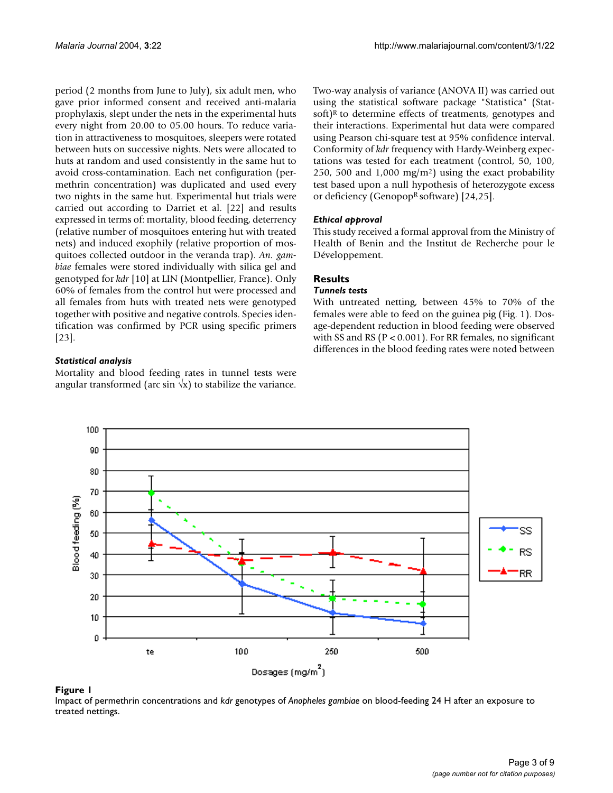period (2 months from June to July), six adult men, who gave prior informed consent and received anti-malaria prophylaxis, slept under the nets in the experimental huts every night from 20.00 to 05.00 hours. To reduce variation in attractiveness to mosquitoes, sleepers were rotated between huts on successive nights. Nets were allocated to huts at random and used consistently in the same hut to avoid cross-contamination. Each net configuration (permethrin concentration) was duplicated and used every two nights in the same hut. Experimental hut trials were carried out according to Darriet et al. [22] and results expressed in terms of: mortality, blood feeding, deterrency (relative number of mosquitoes entering hut with treated nets) and induced exophily (relative proportion of mosquitoes collected outdoor in the veranda trap). *An. gambiae* females were stored individually with silica gel and genotyped for *kdr* [[10\]](#page-7-2) at LIN (Montpellier, France). Only 60% of females from the control hut were processed and all females from huts with treated nets were genotyped together with positive and negative controls. Species identification was confirmed by PCR using specific primers [[23](#page-7-5)].

# *Statistical analysis*

Mortality and blood feeding rates in tunnel tests were angular transformed (arc sin  $\sqrt{x}$ ) to stabilize the variance. Two-way analysis of variance (ANOVA II) was carried out using the statistical software package "Statistica" (Statsoft) $R$  to determine effects of treatments, genotypes and their interactions. Experimental hut data were compared using Pearson chi-square test at 95% confidence interval. Conformity of *kdr* frequency with Hardy-Weinberg expectations was tested for each treatment (control, 50, 100, 250, 500 and  $1,000 \text{ mg/m}^2$  using the exact probability test based upon a null hypothesis of heterozygote excess or deficiency (Genopop<sup>R</sup> software)  $[24,25]$ .

# *Ethical approval*

This study received a formal approval from the Ministry of Health of Benin and the Institut de Recherche pour le Développement.

# **Results**

### *Tunnels tests*

With untreated netting, between 45% to 70% of the females were able to feed on the guinea pig (Fig. 1). Dosage-dependent reduction in blood feeding were observed with SS and RS ( $P < 0.001$ ). For RR females, no significant differences in the blood feeding rates were noted between



#### Impact of permethrin concentrations and treated nettings **Figure 1** *kdr* genotypes of *Anopheles gambiae* on blood-feeding 24 H after an exposure to

Impact of permethrin concentrations and *kdr* genotypes of *Anopheles gambiae* on blood-feeding 24 H after an exposure to treated nettings.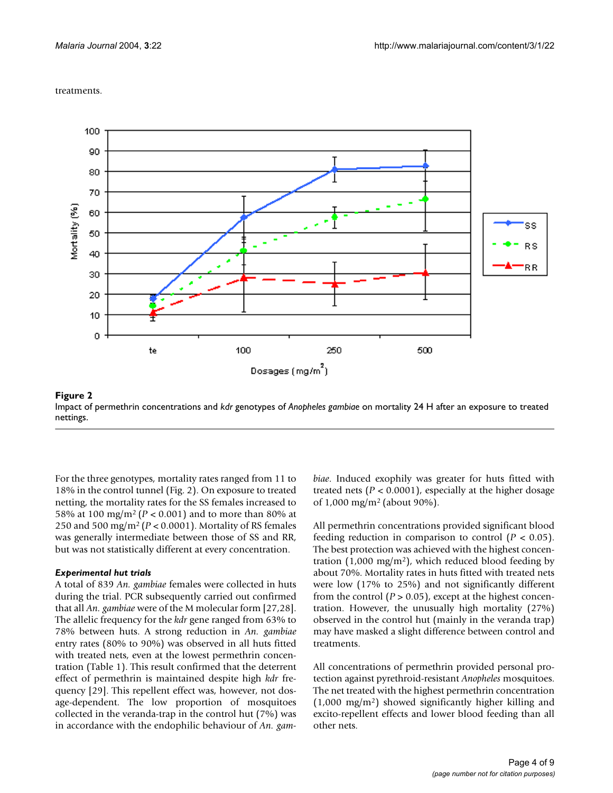#### treatments.



nettings **Figure 2** Impact of permethrin concentrations and *kdr* genotypes of *Anopheles gambiae* on mortality 24 H after an exposure to treated Impact of permethrin concentrations and *kdr* genotypes of *Anopheles gambiae* on mortality 24 H after an exposure to treated nettings.

For the three genotypes, mortality rates ranged from 11 to 18% in the control tunnel (Fig. 2). On exposure to treated netting, the mortality rates for the SS females increased to 58% at 100 mg/m2 (*P* < 0.001) and to more than 80% at 250 and 500 mg/m2 (*P* < 0.0001). Mortality of RS females was generally intermediate between those of SS and RR, but was not statistically different at every concentration.

#### *Experimental hut trials*

A total of 839 *An. gambiae* females were collected in huts during the trial. PCR subsequently carried out confirmed that all *An. gambiae* were of the M molecular form [[27,](#page-7-6)28]. The allelic frequency for the *kdr* gene ranged from 63% to 78% between huts. A strong reduction in *An. gambiae* entry rates (80% to 90%) was observed in all huts fitted with treated nets, even at the lowest permethrin concentration (Table [1](#page-4-0)). This result confirmed that the deterrent effect of permethrin is maintained despite high *kdr* frequency [29]. This repellent effect was, however, not dosage-dependent. The low proportion of mosquitoes collected in the veranda-trap in the control hut (7%) was in accordance with the endophilic behaviour of *An. gam-* *biae*. Induced exophily was greater for huts fitted with treated nets ( $P < 0.0001$ ), especially at the higher dosage of 1,000 mg/m2 (about 90%).

All permethrin concentrations provided significant blood feeding reduction in comparison to control  $(P < 0.05)$ . The best protection was achieved with the highest concentration  $(1,000 \text{ mg/m}^2)$ , which reduced blood feeding by about 70%. Mortality rates in huts fitted with treated nets were low (17% to 25%) and not significantly different from the control  $(P > 0.05)$ , except at the highest concentration. However, the unusually high mortality (27%) observed in the control hut (mainly in the veranda trap) may have masked a slight difference between control and treatments.

All concentrations of permethrin provided personal protection against pyrethroid-resistant *Anopheles* mosquitoes. The net treated with the highest permethrin concentration  $(1,000 \text{ mg/m}^2)$  showed significantly higher killing and excito-repellent effects and lower blood feeding than all other nets.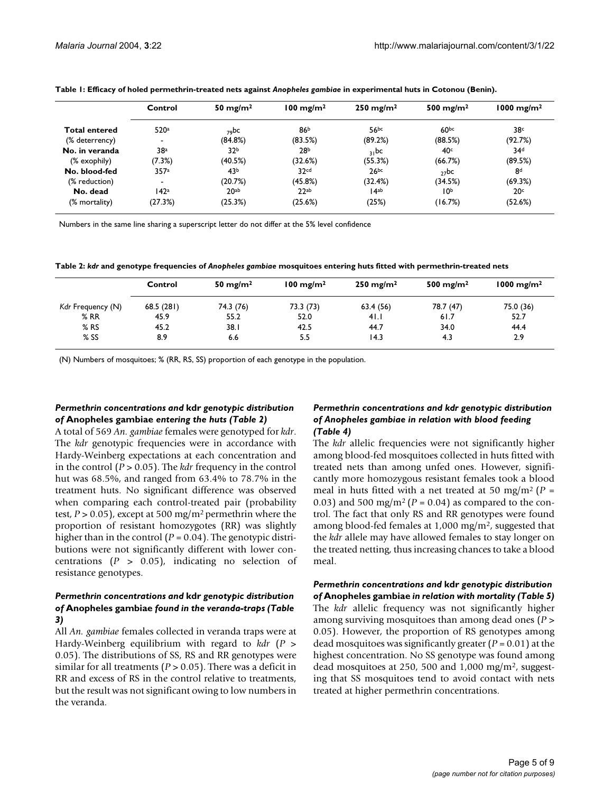|                      | Control                  | 50 mg/m <sup>2</sup> | $100 \text{ mg/m}^2$ | $250 \text{ mg/m}^2$ | 500 mg/m <sup>2</sup> | $1000$ mg/m <sup>2</sup> |
|----------------------|--------------------------|----------------------|----------------------|----------------------|-----------------------|--------------------------|
| <b>Total entered</b> | 520a                     | $79$ <sub>DC</sub>   | 86 <sup>b</sup>      | 56bc                 | 60 <sub>pc</sub>      | 38°                      |
| (% deterrency)       |                          | (84.8%)              | (83.5%)              | (89.2%)              | (88.5%)               | (92.7%)                  |
| No. in veranda       | 38 <sup>a</sup>          | 32 <sup>b</sup>      | 28 <sup>b</sup>      | 31pc                 | 40 <sup>c</sup>       | 34 <sup>d</sup>          |
| (% exophily)         | (7.3%)                   | (40.5%)              | (32.6%)              | (55.3%)              | (66.7%)               | (89.5%)                  |
| No. blood-fed        | 357a                     | 43 <sup>b</sup>      | 32 <sub>cd</sub>     | 26bc                 | $27$ bc               | 8 <sup>d</sup>           |
| (% reduction)        | $\overline{\phantom{a}}$ | (20.7%)              | (45.8%)              | (32.4%)              | (34.5%)               | (69.3%)                  |
| No. dead             | 142 <sup>a</sup>         | 20 <sub>ab</sub>     | 22ab                 | $14^{ab}$            | 10 <sup>b</sup>       | 20 <sup>c</sup>          |
| (% mortality)        | (27.3%)                  | (25.3%)              | (25.6%)              | (25%)                | (16.7%)               | (52.6%)                  |

<span id="page-4-0"></span>**Table 1: Efficacy of holed permethrin-treated nets against** *Anopheles gambiae* **in experimental huts in Cotonou (Benin).**

Numbers in the same line sharing a superscript letter do not differ at the 5% level confidence

<span id="page-4-1"></span>**Table 2:** *kdr* **and genotype frequencies of** *Anopheles gambiae* **mosquitoes entering huts fitted with permethrin-treated nets**

|                   | Control   | 50 mg/m <sup>2</sup> | $100 \text{ mg/m}^2$ | $250 \text{ mg/m}^2$ | 500 mg/m <sup>2</sup> | $1000 \text{ mg/m}^2$ |
|-------------------|-----------|----------------------|----------------------|----------------------|-----------------------|-----------------------|
| Kdr Frequency (N) | 68.5(281) | 74.3 (76)            | 73.3 (73)            | 63.4(56)             | 78.7 (47)             | 75.0 (36)             |
| %RR               | 45.9      | 55.2                 | 52.0                 | 41.1                 | 61.7                  | 52.7                  |
| $%$ RS            | 45.2      | 38. I                | 42.5                 | 44.7                 | 34.0                  | 44.4                  |
| $%$ SS            | 8.9       | 6.6                  | 5.5                  | 14.3                 | 4.3                   | 2.9                   |

(N) Numbers of mosquitoes; % (RR, RS, SS) proportion of each genotype in the population.

### *Permethrin concentrations and* **kdr** *genotypic distribution of* **Anopheles gambiae** *entering the huts (Table [2\)](#page-4-1)*

A total of 569 *An. gambiae* females were genotyped for *kdr*. The *kdr* genotypic frequencies were in accordance with Hardy-Weinberg expectations at each concentration and in the control (*P* > 0.05). The *kdr* frequency in the control hut was 68.5%, and ranged from 63.4% to 78.7% in the treatment huts. No significant difference was observed when comparing each control-treated pair (probability test, *P* > 0.05), except at 500 mg/m2 permethrin where the proportion of resistant homozygotes (RR) was slightly higher than in the control (*P* = 0.04). The genotypic distributions were not significantly different with lower concentrations (*P* > 0.05), indicating no selection of resistance genotypes.

#### *Permethrin concentrations and* **kdr** *genotypic distribution of* **Anopheles gambiae** *found in the veranda-traps (Table [3](#page-5-0))*

All *An. gambiae* females collected in veranda traps were at Hardy-Weinberg equilibrium with regard to *kdr* (*P* > 0.05). The distributions of SS, RS and RR genotypes were similar for all treatments (*P* > 0.05). There was a deficit in RR and excess of RS in the control relative to treatments, but the result was not significant owing to low numbers in the veranda.

### *Permethrin concentrations and kdr genotypic distribution of Anopheles gambiae in relation with blood feeding (Table [4\)](#page-5-1)*

The *kdr* allelic frequencies were not significantly higher among blood-fed mosquitoes collected in huts fitted with treated nets than among unfed ones. However, significantly more homozygous resistant females took a blood meal in huts fitted with a net treated at 50 mg/m2 (*P* = 0.03) and 500 mg/m<sup>2</sup> ( $P = 0.04$ ) as compared to the control. The fact that only RS and RR genotypes were found among blood-fed females at 1,000 mg/m2, suggested that the *kdr* allele may have allowed females to stay longer on the treated netting, thus increasing chances to take a blood meal.

*Permethrin concentrations and* **kdr** *genotypic distribution of* **Anopheles gambiae** *in relation with mortality (Table 5)* The *kdr* allelic frequency was not significantly higher among surviving mosquitoes than among dead ones (*P* > 0.05). However, the proportion of RS genotypes among dead mosquitoes was significantly greater (*P* = 0.01) at the highest concentration. No SS genotype was found among dead mosquitoes at 250, 500 and 1,000 mg/m<sup>2</sup>, suggesting that SS mosquitoes tend to avoid contact with nets treated at higher permethrin concentrations.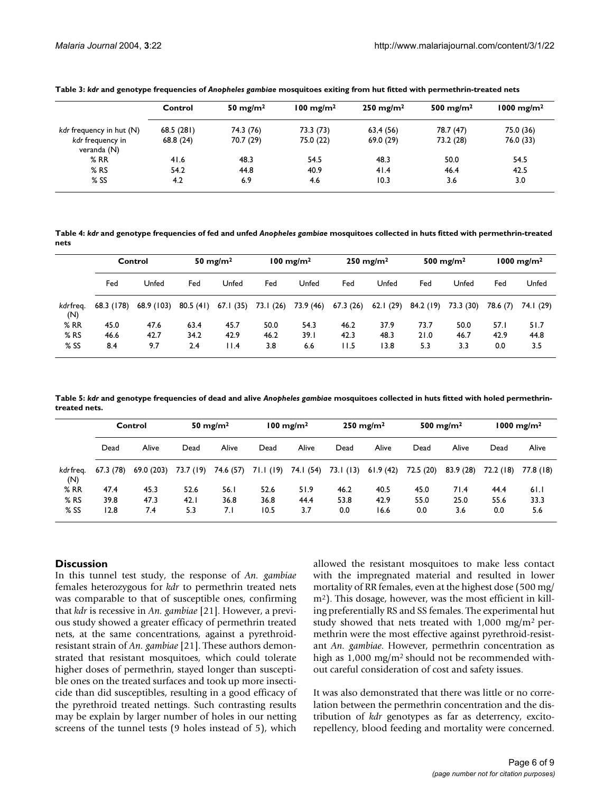|                                 | Control   | 50 mg/m $^2$ | $100 \text{ mg/m}^2$ | $250 \text{ mg/m}^2$ | 500 mg/m <sup>2</sup> | $1000 \text{ mg/m}^2$ |
|---------------------------------|-----------|--------------|----------------------|----------------------|-----------------------|-----------------------|
| kdr frequency in hut (N)        | 68.5(281) | 74.3 (76)    | 73.3 (73)            | 63,4 (56)            | 78.7 (47)             | 75.0 (36)             |
| kdr freguency in<br>veranda (N) | 68.8(24)  | 70.7 (29)    | 75.0 (22)            | 69.0 (29)            | 73.2 (28)             | 76.0 (33)             |
| %RR                             | 41.6      | 48.3         | 54.5                 | 48.3                 | 50.0                  | 54.5                  |
| $%$ RS                          | 54.2      | 44.8         | 40.9                 | 41.4                 | 46.4                  | 42.5                  |
| $%$ SS                          | 4.2       | 6.9          | 4.6                  | 10.3                 | 3.6                   | 3.0                   |

<span id="page-5-0"></span>**Table 3:** *kdr* **and genotype frequencies of** *Anopheles gambiae* **mosquitoes exiting from hut fitted with permethrin-treated nets**

<span id="page-5-1"></span>**Table 4:** *kdr* **and genotype frequencies of fed and unfed** *Anopheles gambiae* **mosquitoes collected in huts fitted with permethrin-treated nets**

|                 | Control    |            | 50 mg/m $^2$<br>$100 \text{ mg/m}^2$ |           | 250 mg/m <sup>2</sup> |           | 500 mg/m <sup>2</sup> |          | $1000 \text{ mg/m}^2$ |           |          |           |
|-----------------|------------|------------|--------------------------------------|-----------|-----------------------|-----------|-----------------------|----------|-----------------------|-----------|----------|-----------|
|                 | Fed        | Unfed      | Fed                                  | Unfed     | Fed                   | Unfed     | Fed                   | Unfed    | Fed                   | Unfed     | Fed      | Unfed     |
| kdrfreg.<br>(N) | 68.3 (178) | 68.9 (103) | 80.5(41)                             | 67.I (35) | 73.I (26)             | 73.9 (46) | 67.3(26)              | 62.1(29) | 84.2 (19)             | 73.3 (30) | 78.6 (7) | 74.I (29) |
| %RR             | 45.0       | 47.6       | 63.4                                 | 45.7      | 50.0                  | 54.3      | 46.2                  | 37.9     | 73.7                  | 50.0      | 57.1     | 51.7      |
| $%$ RS          | 46.6       | 42.7       | 34.2                                 | 42.9      | 46.2                  | 39.1      | 42.3                  | 48.3     | 21.0                  | 46.7      | 42.9     | 44.8      |
| $%$ SS          | 8.4        | 9.7        | 2.4                                  | 11.4      | 3.8                   | 6.6       | 11.5                  | 13.8     | 5.3                   | 3.3       | 0.0      | 3.5       |

**Table 5:** *kdr* **and genotype frequencies of dead and alive** *Anopheles gambiae* **mosquitoes collected in huts fitted with holed permethrintreated nets.**

|                  | Control  |            |           | 50 mg/m $^2$ |           | $100$ mg/m <sup>2</sup> |           | $250 \text{ mg/m}^2$ | 500 mg/m <sup>2</sup> |          |           | $1000$ mg/m <sup>2</sup> |
|------------------|----------|------------|-----------|--------------|-----------|-------------------------|-----------|----------------------|-----------------------|----------|-----------|--------------------------|
|                  | Dead     | Alive      | Dead      | Alive        | Dead      | Alive                   | Dead      | Alive                | Dead                  | Alive    | Dead      | Alive                    |
| kdr freg.<br>(N) | 67.3(78) | 69.0 (203) | 73.7 (19) | 74.6 (57)    | 71.1 (19) | 74.I (54)               | 73.1 (13) | 61.9(42)             | 72.5 (20)             | 83.9(28) | 72.2 (18) | 77.8 (18)                |
| %RR              | 47.4     | 45.3       | 52.6      | 56.1         | 52.6      | 51.9                    | 46.2      | 40.5                 | 45.0                  | 71.4     | 44.4      | 61.1                     |
| $%$ RS           | 39.8     | 47.3       | 42.1      | 36.8         | 36.8      | 44.4                    | 53.8      | 42.9                 | 55.0                  | 25.0     | 55.6      | 33.3                     |
| $%$ SS           | 12.8     | 7.4        | 5.3       | 7.1          | 10.5      | 3.7                     | 0.0       | 16.6                 | 0.0                   | 3.6      | 0.0       | 5.6                      |

#### **Discussion**

In this tunnel test study, the response of *An. gambiae* females heterozygous for *kdr* to permethrin treated nets was comparable to that of susceptible ones, confirming that *kdr* is recessive in *An. gambiae* [21]. However, a previous study showed a greater efficacy of permethrin treated nets, at the same concentrations, against a pyrethroidresistant strain of *An. gambiae* [21]. These authors demonstrated that resistant mosquitoes, which could tolerate higher doses of permethrin, stayed longer than susceptible ones on the treated surfaces and took up more insecticide than did susceptibles, resulting in a good efficacy of the pyrethroid treated nettings. Such contrasting results may be explain by larger number of holes in our netting screens of the tunnel tests (9 holes instead of 5), which

allowed the resistant mosquitoes to make less contact with the impregnated material and resulted in lower mortality of RR females, even at the highest dose (500 mg/ m2). This dosage, however, was the most efficient in killing preferentially RS and SS females. The experimental hut study showed that nets treated with 1,000 mg/m2 permethrin were the most effective against pyrethroid-resistant *An. gambiae*. However, permethrin concentration as high as 1,000 mg/m<sup>2</sup> should not be recommended without careful consideration of cost and safety issues.

It was also demonstrated that there was little or no correlation between the permethrin concentration and the distribution of *kdr* genotypes as far as deterrency, excitorepellency, blood feeding and mortality were concerned.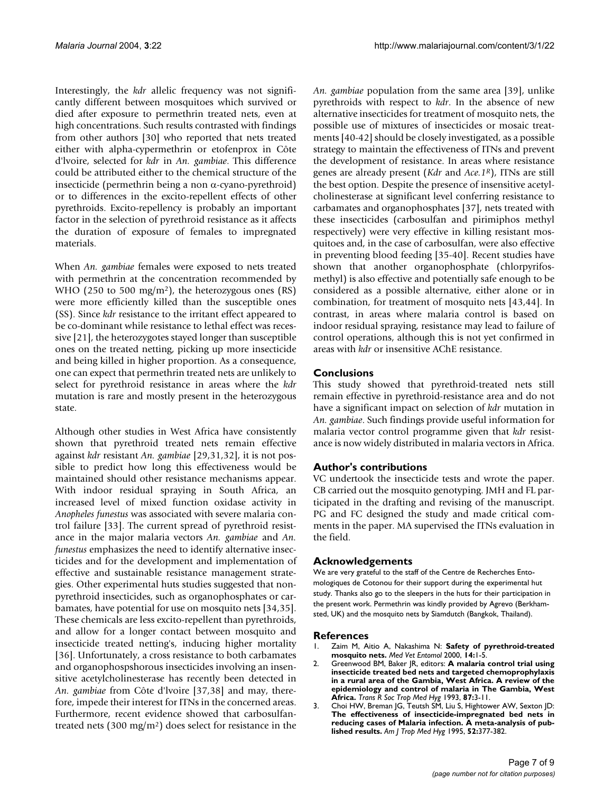Interestingly, the *kdr* allelic frequency was not significantly different between mosquitoes which survived or died after exposure to permethrin treated nets, even at high concentrations. Such results contrasted with findings from other authors [\[30](#page-7-7)] who reported that nets treated either with alpha-cypermethrin or etofenprox in Côte d'lvoire, selected for *kdr* in *An. gambiae*. This difference could be attributed either to the chemical structure of the insecticide (permethrin being a non α-cyano-pyrethroid) or to differences in the excito-repellent effects of other pyrethroids. Excito-repellency is probably an important factor in the selection of pyrethroid resistance as it affects the duration of exposure of females to impregnated materials.

When *An. gambiae* females were exposed to nets treated with permethrin at the concentration recommended by WHO (250 to 500 mg/m<sup>2</sup>), the heterozygous ones (RS) were more efficiently killed than the susceptible ones (SS). Since *kdr* resistance to the irritant effect appeared to be co-dominant while resistance to lethal effect was recessive [21], the heterozygotes stayed longer than susceptible ones on the treated netting, picking up more insecticide and being killed in higher proportion. As a consequence, one can expect that permethrin treated nets are unlikely to select for pyrethroid resistance in areas where the *kdr* mutation is rare and mostly present in the heterozygous state.

Although other studies in West Africa have consistently shown that pyrethroid treated nets remain effective against *kdr* resistant *An. gambiae* [29,31,32], it is not possible to predict how long this effectiveness would be maintained should other resistance mechanisms appear. With indoor residual spraying in South Africa, an increased level of mixed function oxidase activity in *Anopheles funestus* was associated with severe malaria control failure [[33](#page-7-8)]. The current spread of pyrethroid resistance in the major malaria vectors *An. gambiae* and *An. funestus* emphasizes the need to identify alternative insecticides and for the development and implementation of effective and sustainable resistance management strategies. Other experimental huts studies suggested that nonpyrethroid insecticides, such as organophosphates or carbamates, have potential for use on mosquito nets [34,35]. These chemicals are less excito-repellent than pyrethroids, and allow for a longer contact between mosquito and insecticide treated netting's, inducing higher mortality [36]. Unfortunately, a cross resistance to both carbamates and organophospshorous insecticides involving an insensitive acetylcholinesterase has recently been detected in *An. gambiae* from Côte d'lvoire [\[37](#page-7-9),38] and may, therefore, impede their interest for ITNs in the concerned areas. Furthermore, recent evidence showed that carbosulfantreated nets (300 mg/m2) does select for resistance in the *An. gambiae* population from the same area [\[39](#page-7-10)], unlike pyrethroids with respect to *kdr*. In the absence of new alternative insecticides for treatment of mosquito nets, the possible use of mixtures of insecticides or mosaic treatments [40[-42\]](#page-7-11) should be closely investigated, as a possible strategy to maintain the effectiveness of ITNs and prevent the development of resistance. In areas where resistance genes are already present (*Kdr* and *Ace.1R*), ITNs are still the best option. Despite the presence of insensitive acetylcholinesterase at significant level conferring resistance to carbamates and organophosphates [[37\]](#page-7-9), nets treated with these insecticides (carbosulfan and pirimiphos methyl respectively) were very effective in killing resistant mosquitoes and, in the case of carbosulfan, were also effective in preventing blood feeding [35-40]. Recent studies have shown that another organophosphate (chlorpyrifosmethyl) is also effective and potentially safe enough to be considered as a possible alternative, either alone or in combination, for treatment of mosquito nets [43,44]. In contrast, in areas where malaria control is based on indoor residual spraying, resistance may lead to failure of control operations, although this is not yet confirmed in areas with *kdr* or insensitive AChE resistance.

# **Conclusions**

This study showed that pyrethroid-treated nets still remain effective in pyrethroid-resistance area and do not have a significant impact on selection of *kdr* mutation in *An. gambiae*. Such findings provide useful information for malaria vector control programme given that *kdr* resistance is now widely distributed in malaria vectors in Africa.

# **Author's contributions**

VC undertook the insecticide tests and wrote the paper. CB carried out the mosquito genotyping. JMH and FL participated in the drafting and revising of the manuscript. PG and FC designed the study and made critical comments in the paper. MA supervised the ITNs evaluation in the field.

# **Acknowledgements**

We are very grateful to the staff of the Centre de Recherches Entomologiques de Cotonou for their support during the experimental hut study. Thanks also go to the sleepers in the huts for their participation in the present work. Permethrin was kindly provided by Agrevo (Berkhamsted, UK) and the mosquito nets by Siamdutch (Bangkok, Thailand).

# **References**

- 1. Zaim M, Aitio A, Nakashima N: **[Safety of pyrethroid-treated](http://www.ncbi.nlm.nih.gov/entrez/query.fcgi?cmd=Retrieve&db=PubMed&dopt=Abstract&list_uids=10.1046/j.1365-2915.2000.00211.x) [mosquito nets](http://www.ncbi.nlm.nih.gov/entrez/query.fcgi?cmd=Retrieve&db=PubMed&dopt=Abstract&list_uids=10.1046/j.1365-2915.2000.00211.x)[.](http://www.ncbi.nlm.nih.gov/entrez/query.fcgi?cmd=Retrieve&db=PubMed&dopt=Abstract&list_uids=10759305)** *Med Vet Entomol* 2000, **14:**1-5.
- 2. Greenwood BM, Baker JR, editors: **[A malaria control trial using](http://www.ncbi.nlm.nih.gov/entrez/query.fcgi?cmd=Retrieve&db=PubMed&dopt=Abstract&list_uids=10.1016/0035-9203(93)90169-Q) insecticide treated bed nets and targeted chemoprophylaxis in a rural area of the Gambia, West Africa. A review of the [epidemiology and control of malaria in The Gambia, West](http://www.ncbi.nlm.nih.gov/entrez/query.fcgi?cmd=Retrieve&db=PubMed&dopt=Abstract&list_uids=10.1016/0035-9203(93)90169-Q) [Africa](http://www.ncbi.nlm.nih.gov/entrez/query.fcgi?cmd=Retrieve&db=PubMed&dopt=Abstract&list_uids=10.1016/0035-9203(93)90169-Q)[.](http://www.ncbi.nlm.nih.gov/entrez/query.fcgi?cmd=Retrieve&db=PubMed&dopt=Abstract&list_uids=8212107)** *Trans R Soc Trop Med Hyg* 1993, **87:**3-11.
- 3. Choi HW, Breman JG, Teutsh SM, Liu S, Hightower AW, Sexton JD: **[The effectiveness of insecticide-impregnated bed nets in](http://www.ncbi.nlm.nih.gov/entrez/query.fcgi?cmd=Retrieve&db=PubMed&dopt=Abstract&list_uids=7771600) reducing cases of Malaria infection. A meta-analysis of pub[lished results.](http://www.ncbi.nlm.nih.gov/entrez/query.fcgi?cmd=Retrieve&db=PubMed&dopt=Abstract&list_uids=7771600)** *Am J Trop Med Hyg* 1995, **52:**377-382.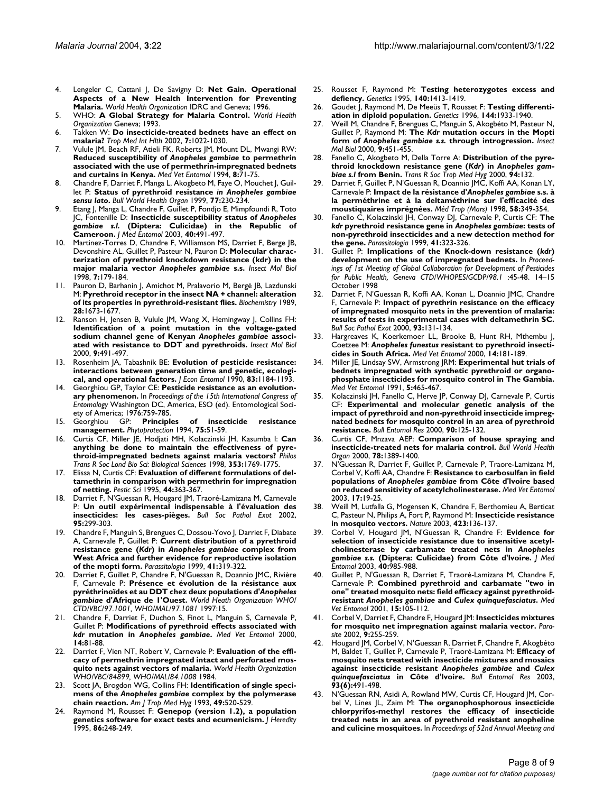- 4. Lengeler C, Cattani J, De Savigny D: **Net Gain. Operational Aspects of a New Health Intervention for Preventing Malaria.** *World Health Organization* IDRC and Geneva; 1996.
- 5. WHO: **A Global Strategy for Malaria Control.** *World Health Organization* Geneva; 1993.
- 6. Takken W: **[Do insecticide-treated bednets have an effect on](http://www.ncbi.nlm.nih.gov/entrez/query.fcgi?cmd=Retrieve&db=PubMed&dopt=Abstract&list_uids=10.1046/j.1365-3156.2002.00983.x) [malaria?](http://www.ncbi.nlm.nih.gov/entrez/query.fcgi?cmd=Retrieve&db=PubMed&dopt=Abstract&list_uids=10.1046/j.1365-3156.2002.00983.x)** *Trop Med Int Hlth* 2002, **7:**1022-1030.
- <span id="page-7-0"></span>7. Vulule JM, Beach RF, Atieli FK, Roberts JM, Mount DL, Mwangi RW: **Reduced susceptibility of** *Anopheles gambiae* **[to permethrin](http://www.ncbi.nlm.nih.gov/entrez/query.fcgi?cmd=Retrieve&db=PubMed&dopt=Abstract&list_uids=8161849) [associated with the use of permethrin-impregnated bednets](http://www.ncbi.nlm.nih.gov/entrez/query.fcgi?cmd=Retrieve&db=PubMed&dopt=Abstract&list_uids=8161849) [and curtains in Kenya.](http://www.ncbi.nlm.nih.gov/entrez/query.fcgi?cmd=Retrieve&db=PubMed&dopt=Abstract&list_uids=8161849)** *Med Vet Entomol* 1994, **8:**71-75.
- Chandre F, Darriet F, Manga L, Akogbeto M, Faye O, Mouchet J, Guillet P: **Status of pyrethroid resistance** *in Anopheles gambiae sensu lato***[.](http://www.ncbi.nlm.nih.gov/entrez/query.fcgi?cmd=Retrieve&db=PubMed&dopt=Abstract&list_uids=10212513)** *Bull World Health Organ* 1999, **77:**230-234.
- <span id="page-7-1"></span>9. Etang J, Manga L, Chandre F, Guillet P, Fondjo E, Mimpfoundi R, Toto JC, Fontenille D: **Insecticide susceptibility status of** *Anopheles gambiae s.l.* **[\(Diptera: Culicidae\) in the Republic of](http://www.ncbi.nlm.nih.gov/entrez/query.fcgi?cmd=Retrieve&db=PubMed&dopt=Abstract&list_uids=14680116) [Cameroon.](http://www.ncbi.nlm.nih.gov/entrez/query.fcgi?cmd=Retrieve&db=PubMed&dopt=Abstract&list_uids=14680116)** *J Med Entomol* 2003, **40:**491-497.
- <span id="page-7-2"></span>Martinez-Torres D, Chandre F, Williamson MS, Darriet F, Berge JB, Devonshire AL, Guillet P, Pasteur N, Pauron D: **Molecular characterization of pyrethroid knockdown resistance (kdr) in the major malaria vector** *Anopheles gambiae* **[s.s](http://www.ncbi.nlm.nih.gov/entrez/query.fcgi?cmd=Retrieve&db=PubMed&dopt=Abstract&list_uids=10.1046/j.1365-2583.1998.72062.x)[.](http://www.ncbi.nlm.nih.gov/entrez/query.fcgi?cmd=Retrieve&db=PubMed&dopt=Abstract&list_uids=9535162)** *Insect Mol Biol* 1998, **7:**179-184.
- 11. Pauron D, Barhanin J, Amichot M, Pralavorio M, Bergé JB, Lazdunski M: **Pyrethroid receptor in the insect NA + channel: alteration of its properties in pyrethroid-resistant flies.** *Biochemistry* 1989, **28:**1673-1677.
- <span id="page-7-3"></span>12. Ranson H, Jensen B, Vulule JM, Wang X, Hemingway J, Collins FH: **Identification of a point mutation in the voltage-gated sodium channel gene of Kenyan** *Anopheles gambiae* **[associ](http://www.ncbi.nlm.nih.gov/entrez/query.fcgi?cmd=Retrieve&db=PubMed&dopt=Abstract&list_uids=10.1046/j.1365-2583.2000.00209.x)[ated with resistance to DDT and pyrethroids](http://www.ncbi.nlm.nih.gov/entrez/query.fcgi?cmd=Retrieve&db=PubMed&dopt=Abstract&list_uids=10.1046/j.1365-2583.2000.00209.x)[.](http://www.ncbi.nlm.nih.gov/entrez/query.fcgi?cmd=Retrieve&db=PubMed&dopt=Abstract&list_uids=11029667)** *Insect Mol Biol* 2000, **9:**491-497.
- 13. Rosenheim JA, Tabashnik BE: **[Evolution of pesticide resistance:](http://www.ncbi.nlm.nih.gov/entrez/query.fcgi?cmd=Retrieve&db=PubMed&dopt=Abstract&list_uids=2212232) [interactions between generation time and genetic, ecologi](http://www.ncbi.nlm.nih.gov/entrez/query.fcgi?cmd=Retrieve&db=PubMed&dopt=Abstract&list_uids=2212232)[cal, and operational factors.](http://www.ncbi.nlm.nih.gov/entrez/query.fcgi?cmd=Retrieve&db=PubMed&dopt=Abstract&list_uids=2212232)** *J Econ Entomol* 1990, **83:**1184-1193.
- 14. Georghiou GP, Taylor CE: **Pesticide resistance as an evolutionary phenomenon.** In *Proceedings of the 15th International Congress of Entomology* Washington DC, America, ESO (ed). Entomological Society of America; 1976:759-785.
- 15. Georghiou GP: **Principles of insecticide resistance management.** *Phytoprotection* 1994, **75:**51-59.
- 16. Curtis CF, Miller JE, Hodjati MH, Kolaczinski JH, Kasumba I: **[Can](http://www.ncbi.nlm.nih.gov/entrez/query.fcgi?cmd=Retrieve&db=PubMed&dopt=Abstract&list_uids=10.1098/rstb.1998.0329) [anything be done to maintain the effectiveness of pyre](http://www.ncbi.nlm.nih.gov/entrez/query.fcgi?cmd=Retrieve&db=PubMed&dopt=Abstract&list_uids=10.1098/rstb.1998.0329)[throid-impregnated bednets against malaria vectors?](http://www.ncbi.nlm.nih.gov/entrez/query.fcgi?cmd=Retrieve&db=PubMed&dopt=Abstract&list_uids=10.1098/rstb.1998.0329)** *Philos Trans R Soc Lond Bio Sci: Biological Sciences* 1998, **353:**1769-1775.
- 17. Elissa N, Curtis CF: **Evaluation of different formulations of deltamethrin in comparison with permethrin for impregnation of netting.** *Pestic Sci* 1995, **44:**363-367.
- 18. Darriet F, N'Guessan R, Hougard JM, Traoré-Lamizana M, Carnevale P: **[Un outil expérimental indispensable à l'évaluation des](http://www.ncbi.nlm.nih.gov/entrez/query.fcgi?cmd=Retrieve&db=PubMed&dopt=Abstract&list_uids=12596384) [insecticides: les cases-pièges.](http://www.ncbi.nlm.nih.gov/entrez/query.fcgi?cmd=Retrieve&db=PubMed&dopt=Abstract&list_uids=12596384)** *Bull Soc Pathol Exot* 2002, **95:**299-303.
- <span id="page-7-4"></span>19. Chandre F, Manguin S, Brengues C, Dossou-Yovo J, Darriet F, Diabate A, Carnevale P, Guillet P: **Current distribution of a pyrethroid resistance gene (***Kdr***) in** *Anopheles gambiae* **[complex from](http://www.ncbi.nlm.nih.gov/entrez/query.fcgi?cmd=Retrieve&db=PubMed&dopt=Abstract&list_uids=10697876) [West Africa and further evidence for reproductive isolation](http://www.ncbi.nlm.nih.gov/entrez/query.fcgi?cmd=Retrieve&db=PubMed&dopt=Abstract&list_uids=10697876) [of the mopti form.](http://www.ncbi.nlm.nih.gov/entrez/query.fcgi?cmd=Retrieve&db=PubMed&dopt=Abstract&list_uids=10697876)** *Parassitologia* 1999, **41:**319-322.
- 20. Darriet F, Guillet P, Chandre F, N'Guessan R, Doannio JMC, Rivière F, Carnevale P: **Présence et évolution de la résistance aux pyréthrinoïdes et au DDT chez deux populations d'***Anopheles gambiae* **d'Afrique de 1'Ouest.** *World Heath Organization WHO/ CTD/VBC/97.1001, WHO/MAL/97.1081* 1997:15.
- 21. Chandre F, Darriet F, Duchon S, Finot L, Manguin S, Carnevale P, Guillet P: **Modifications of pyrethroid effects associated with** *kdr* **mutation in** *Anopheles gambiae***[.](http://www.ncbi.nlm.nih.gov/entrez/query.fcgi?cmd=Retrieve&db=PubMed&dopt=Abstract&list_uids=10759316)** *Med Vet Entomol* 2000, **14:**81-88.
- 22. Darriet F, Vien NT, Robert V, Carnevale P: **Evaluation of the efficacy of permethrin impregnated intact and perforated mosquito nets against vectors of malaria.** *World Health Organization WHO/VBC/84899, WHO/MAL/84.1008* 1984.
- <span id="page-7-5"></span>23. Scott JA, Brogdon WG, Collins FH: **Identification of single specimens of the** *Anopheles gambiae* **[complex by the polymerase](http://www.ncbi.nlm.nih.gov/entrez/query.fcgi?cmd=Retrieve&db=PubMed&dopt=Abstract&list_uids=8214283) [chain reaction.](http://www.ncbi.nlm.nih.gov/entrez/query.fcgi?cmd=Retrieve&db=PubMed&dopt=Abstract&list_uids=8214283)** *Am J Trop Med Hyg* 1993, **49:**520-529.
- 24. Raymond M, Rousset F: **Genepop (version 1.2), a population genetics software for exact tests and ecumenicism.** *J Heredity* 1995, **86:**248-249.
- 25. Rousset F, Raymond M: **[Testing heterozygotes excess and](http://www.ncbi.nlm.nih.gov/entrez/query.fcgi?cmd=Retrieve&db=PubMed&dopt=Abstract&list_uids=7498780) [defiency.](http://www.ncbi.nlm.nih.gov/entrez/query.fcgi?cmd=Retrieve&db=PubMed&dopt=Abstract&list_uids=7498780)** *Genetics* 1995, **140:**1413-1419.
- 26. Goudet J, Raymond M, De Meeüs T, Rousset F: **[Testing differenti](http://www.ncbi.nlm.nih.gov/entrez/query.fcgi?cmd=Retrieve&db=PubMed&dopt=Abstract&list_uids=8978076)[ation in diploid population.](http://www.ncbi.nlm.nih.gov/entrez/query.fcgi?cmd=Retrieve&db=PubMed&dopt=Abstract&list_uids=8978076)** *Genetics* 1996, **144:**1933-1940.
- <span id="page-7-6"></span>27. Weill M, Chandre F, Brengues C, Manguin S, Akogbéto M, Pasteur N, Guillet P, Raymond M: **The** *Kdr* **mutation occurs in the Mopti form of** *Anopheles gambiae s.s.* **[through introgression](http://www.ncbi.nlm.nih.gov/entrez/query.fcgi?cmd=Retrieve&db=PubMed&dopt=Abstract&list_uids=10.1046/j.1365-2583.2000.00206.x)[.](http://www.ncbi.nlm.nih.gov/entrez/query.fcgi?cmd=Retrieve&db=PubMed&dopt=Abstract&list_uids=11029663)** *Insect Mol Biol* 2000, **9:**451-455.
- 28. Fanello C, Akogbeto M, Della Torre A: **Distribution of the pyrethroid knockdown resistance gene (***Kdr***) in** *Anopheles gambiae s.l* **from Benin.** *Trans R Soc Trop Med Hyg* 2000, **94:**132.
- 29. Darriet F, Guillet P, N'Guessan R, Doannio JMC, Koffi AA, Konan LY, Carnevale P: **Impact de la résistance d'***Anopheles gambiae* **s.s. à la perméthrine et à la deltaméthrine sur l'efficacité des moustiquaires imprégnées.** *Méd Trop (Mars)* 1998, **58:**349-354.
- <span id="page-7-7"></span>30. Fanello C, Kolaczinski JH, Conway DJ, Carnevale P, Curtis CF: **The** *kdr* **pyrethroid resistance gene in** *Anopheles gambiae***[: tests of](http://www.ncbi.nlm.nih.gov/entrez/query.fcgi?cmd=Retrieve&db=PubMed&dopt=Abstract&list_uids=10697877) [non-pyrethroid insecticides and a new detection method for](http://www.ncbi.nlm.nih.gov/entrez/query.fcgi?cmd=Retrieve&db=PubMed&dopt=Abstract&list_uids=10697877) [the gene.](http://www.ncbi.nlm.nih.gov/entrez/query.fcgi?cmd=Retrieve&db=PubMed&dopt=Abstract&list_uids=10697877)** *Parassitologia* 1999, **41:**323-326.
- 31. Guillet P: **Implications of the Knock-down resistance (***kdr***) development on the use of impregnated bednets.** In *Proceedings of 1st Meeting of Global Collaboration for Development of Pesticides for Public Health, Geneva CTD/WHOPES/GCDP/98.1* :45-48. 14–15 October 1998
- 32. Darriet F, N'Guessan R, Koffi AA, Konan L, Doannio JMC, Chandre F, Carnevale P: **[Impact of pyrethrin resistance on the efficacy](http://www.ncbi.nlm.nih.gov/entrez/query.fcgi?cmd=Retrieve&db=PubMed&dopt=Abstract&list_uids=10863621) [of impregnated mosquito nets in the prevention of malaria:](http://www.ncbi.nlm.nih.gov/entrez/query.fcgi?cmd=Retrieve&db=PubMed&dopt=Abstract&list_uids=10863621) results of tests in experimental cases with deltamethrin SC.** *Bull Soc Pathol Exot* 2000, **93:**131-134.
- <span id="page-7-8"></span>33. Hargreaves K, Koerkemoer LL, Brooke B, Hunt RH, Mthembu J, Coetzee M: *Anopheles funestus* **[resistant to pyrethroid insecti](http://www.ncbi.nlm.nih.gov/entrez/query.fcgi?cmd=Retrieve&db=PubMed&dopt=Abstract&list_uids=10.1046/j.1365-2915.2000.00234.x)[cides in South Africa](http://www.ncbi.nlm.nih.gov/entrez/query.fcgi?cmd=Retrieve&db=PubMed&dopt=Abstract&list_uids=10.1046/j.1365-2915.2000.00234.x)[.](http://www.ncbi.nlm.nih.gov/entrez/query.fcgi?cmd=Retrieve&db=PubMed&dopt=Abstract&list_uids=10872862)** *Med Vet Entomol* 2000, **14:**181-189.
- 34. Miller JE, Lindsay SW, Armstrong JRM: **[Experimental hut trials of](http://www.ncbi.nlm.nih.gov/entrez/query.fcgi?cmd=Retrieve&db=PubMed&dopt=Abstract&list_uids=1685337) bednets impregnated with synthetic pyrethroid or organo[phosphate insecticides for mosquito control in The Gambia.](http://www.ncbi.nlm.nih.gov/entrez/query.fcgi?cmd=Retrieve&db=PubMed&dopt=Abstract&list_uids=1685337)** *Med Vet Entomol* 1991, **5:**465-467.
- 35. Kolaczinski JH, Fanello C, Herve JP, Conway DJ, Carnevale P, Curtis CF: **[Experimental and molecular genetic analysis of the](http://www.ncbi.nlm.nih.gov/entrez/query.fcgi?cmd=Retrieve&db=PubMed&dopt=Abstract&list_uids=10948372) [impact of pyrethroid and non-pyrethroid insecticide impreg](http://www.ncbi.nlm.nih.gov/entrez/query.fcgi?cmd=Retrieve&db=PubMed&dopt=Abstract&list_uids=10948372)nated bednets for mosquito control in an area of pyrethroid [resistance.](http://www.ncbi.nlm.nih.gov/entrez/query.fcgi?cmd=Retrieve&db=PubMed&dopt=Abstract&list_uids=10948372)** *Bull Entomol Res* 2000, **90:**125-132.
- 36. Curtis CF, Mnzava AEP: **[Comparison of house spraying and](http://www.ncbi.nlm.nih.gov/entrez/query.fcgi?cmd=Retrieve&db=PubMed&dopt=Abstract&list_uids=11196486) [insecticide-treated nets for malaria control.](http://www.ncbi.nlm.nih.gov/entrez/query.fcgi?cmd=Retrieve&db=PubMed&dopt=Abstract&list_uids=11196486)** *Bull World Health Organ* 2000, **78:**1389-1400.
- <span id="page-7-9"></span>37. N'Guessan R, Darriet F, Guillet P, Carnevale P, Traore-Lamizana M, Corbel V, Koffi AA, Chandre F: **Resistance to carbosulfan in field populations of** *Anopheles gambiae* **[from Côte d'lvoire based](http://www.ncbi.nlm.nih.gov/entrez/query.fcgi?cmd=Retrieve&db=PubMed&dopt=Abstract&list_uids=12680920) [on reduced sensitivity of acetylcholinesterase.](http://www.ncbi.nlm.nih.gov/entrez/query.fcgi?cmd=Retrieve&db=PubMed&dopt=Abstract&list_uids=12680920)** *Med Vet Entomol* 2003, **17:**19-25.
- 38. Weill M, Lutfalla G, Mogensen K, Chandre F, Berthomieu A, Berticat C, Pasteur N, Philips A, Fort P, Raymond M: **[Insecticide resistance](http://www.ncbi.nlm.nih.gov/entrez/query.fcgi?cmd=Retrieve&db=PubMed&dopt=Abstract&list_uids=10.1038/423136b) [in mosquito vectors](http://www.ncbi.nlm.nih.gov/entrez/query.fcgi?cmd=Retrieve&db=PubMed&dopt=Abstract&list_uids=10.1038/423136b)[.](http://www.ncbi.nlm.nih.gov/entrez/query.fcgi?cmd=Retrieve&db=PubMed&dopt=Abstract&list_uids=12736674)** *Nature* 2003, **423:**136-137.
- <span id="page-7-10"></span>39. Corbel V, Hougard JM, N'Guessan R, Chandre F: **Evidence for selection of insecticide resistance due to insensitive acetylcholinesterase by carbamate treated nets in** *Anopheles gambiae s.s.* **[\(Diptera: Culicidae\) from Côte d'lvoire.](http://www.ncbi.nlm.nih.gov/entrez/query.fcgi?cmd=Retrieve&db=PubMed&dopt=Abstract&list_uids=14765680)** *J Med Entomol* 2003, **40:**985-988.
- 40. Guillet P, N'Guessan R, Darriet F, Traoré-Lamizana M, Chandre F, Carnevale P: **Combined pyrethroid and carbamate "two in one" treated mosquito nets: field efficacy against pyrethroidresistant** *Anopheles gambiae* **and** *Culex quinquefasciatus***[.](http://www.ncbi.nlm.nih.gov/entrez/query.fcgi?cmd=Retrieve&db=PubMed&dopt=Abstract&list_uids=11297094)** *Med Vet Entomol* 2001, **15:**105-112.
- 41. Corbel V, Darriet F, Chandre F, Hougard JM: **[Insecticides mixtures](http://www.ncbi.nlm.nih.gov/entrez/query.fcgi?cmd=Retrieve&db=PubMed&dopt=Abstract&list_uids=12375369) [for mosquito net impregnation against malaria vector.](http://www.ncbi.nlm.nih.gov/entrez/query.fcgi?cmd=Retrieve&db=PubMed&dopt=Abstract&list_uids=12375369)** *Parasite* 2002, **9:**255-259.
- <span id="page-7-11"></span>42. Hougard JM, Corbel V, N'Guessan R, Darriet F, Chandre F, Akogbéto M, Baldet T, Guillet P, Carnevale P, Traoré-Lamizana M: **Efficacy of mosquito nets treated with insecticide mixtures and mosaics against insecticide resistant** *Anopheles gambiae* **and** *Culex quinquefasciatus* **[in Côte d'lvoire](http://www.ncbi.nlm.nih.gov/entrez/query.fcgi?cmd=Retrieve&db=PubMed&dopt=Abstract&list_uids=10.1079/BER2003261)[.](http://www.ncbi.nlm.nih.gov/entrez/query.fcgi?cmd=Retrieve&db=PubMed&dopt=Abstract&list_uids=14704095)** *Bull Entomol Res* 2003, **93(6):**491-498.
- 43. N'Guessan RN, Asidi A, Rowland MW, Curtis CF, Hougard JM, Corbel V, Lines JL, Zaim M: **The organophosphorous insecticide chlorpyrifos-methyl restores the efficacy of insecticide treated nets in an area of pyrethroid resistant anopheline and culicine mosquitoes.** In *Proceedings of 52nd Annual Meeting and*